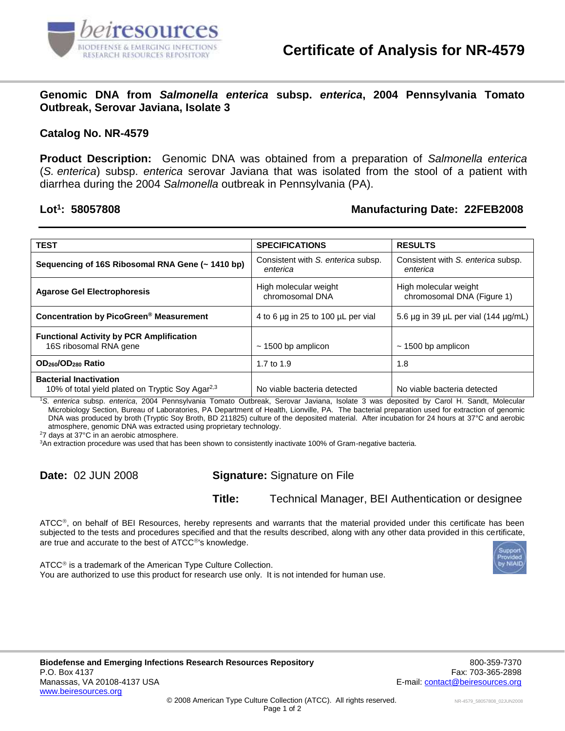

**Genomic DNA from** *Salmonella enterica* **subsp.** *enterica***, 2004 Pennsylvania Tomato Outbreak, Serovar Javiana, Isolate 3**

## **Catalog No. NR-4579**

**Product Description:** Genomic DNA was obtained from a preparation of *Salmonella enterica* (*S. enterica*) subsp. *enterica* serovar Javiana that was isolated from the stool of a patient with diarrhea during the 2004 *Salmonella* outbreak in Pennsylvania (PA).

## Lot<sup>1</sup>: 58057808

## **: 58057808 Manufacturing Date: 22FEB2008**

| <b>TEST</b>                                                                                   | <b>SPECIFICATIONS</b>                          | <b>RESULTS</b>                                      |
|-----------------------------------------------------------------------------------------------|------------------------------------------------|-----------------------------------------------------|
| Sequencing of 16S Ribosomal RNA Gene (~ 1410 bp)                                              | Consistent with S. enterica subsp.<br>enterica | Consistent with S. enterica subsp.<br>enterica      |
| <b>Agarose Gel Electrophoresis</b>                                                            | High molecular weight<br>chromosomal DNA       | High molecular weight<br>chromosomal DNA (Figure 1) |
| Concentration by PicoGreen <sup>®</sup> Measurement                                           | 4 to 6 µg in 25 to 100 µL per vial             | 5.6 µg in 39 µL per vial (144 µg/mL)                |
| <b>Functional Activity by PCR Amplification</b><br>16S ribosomal RNA gene                     | $\sim$ 1500 bp amplicon                        | $\sim$ 1500 bp amplicon                             |
| OD <sub>260</sub> /OD <sub>280</sub> Ratio                                                    | 1.7 to 1.9                                     | 1.8                                                 |
| <b>Bacterial Inactivation</b><br>10% of total yield plated on Tryptic Soy Agar <sup>2,3</sup> | No viable bacteria detected                    | No viable bacteria detected                         |

<sup>1</sup>*S. enterica* subsp. *enterica*, 2004 Pennsylvania Tomato Outbreak, Serovar Javiana, Isolate 3 was deposited by Carol H. Sandt, Molecular Microbiology Section, Bureau of Laboratories, PA Department of Health, Lionville, PA. The bacterial preparation used for extraction of genomic DNA was produced by broth (Tryptic Soy Broth, BD 211825) culture of the deposited material. After incubation for 24 hours at 37°C and aerobic atmosphere, genomic DNA was extracted using proprietary technology.

<sup>2</sup>7 days at 37°C in an aerobic atmosphere.

<sup>3</sup>An extraction procedure was used that has been shown to consistently inactivate 100% of Gram-negative bacteria.

**Date:** 02 JUN 2008 **Signature:** Signature on File

**Title:** Technical Manager, BEI Authentication or designee

ATCC®, on behalf of BEI Resources, hereby represents and warrants that the material provided under this certificate has been subjected to the tests and procedures specified and that the results described, along with any other data provided in this certificate, are true and accurate to the best of ATCC®'s knowledge.

ATCC<sup>®</sup> is a trademark of the American Type Culture Collection. You are authorized to use this product for research use only. It is not intended for human use.